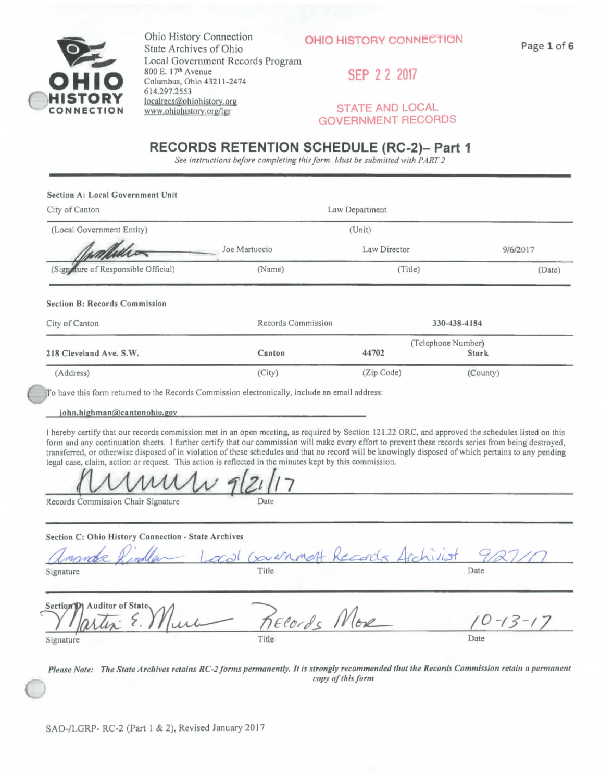

**Ohio History Connection State Archives of Ohio Local Government Records Program 800 E . IT"\*-Avenue Columbus , Ohio 43211-2474 614.297,2553 loca|rgcg{S),ohiohi\$torv.org www.ohiohislorv-Qrg/Igr** 

SEP 2 2 2017

#### **STATE AND LOCAL GOVERNMENT RECORDS**

#### **RECORDS RETENTION SCHEDULE (RC-2)- Part 1**

*See instructions before completing this form. Musi he submitted with PART 2* 

| Section A: Local Government Unit      |                               |                    |              |  |
|---------------------------------------|-------------------------------|--------------------|--------------|--|
| City of Canton                        | Law Department                |                    |              |  |
| (Local Government Entity)             |                               | (Unit)             |              |  |
|                                       | Joe Martuccio<br>Law Director |                    | 9/6/2017     |  |
| (Sign fluxer of Responsible Official) | (Name)                        | (Title)            | (Date)       |  |
| <b>Section B: Records Commission</b>  |                               |                    |              |  |
| City of Canton                        | Records Commission            |                    | 330-438-4184 |  |
|                                       |                               | (Telephone Number) |              |  |
| 218 Cleveland Ave. S.W.               | Canton                        | 44702              | <b>Stark</b> |  |
| (Address)                             | (City)                        | (Zip Code)         | (County)     |  |

To have this form returned to the Records Commission electronically, include an email address:

 $john.highman@cantonohio.gov$ 

**I hereby certify that our records commission met in an open meeting, as required by Section 121.22 ORG , and approved the schedules listed on this**  form and any continuation sheets. I further certify that our commission will make every effort to prevent these records series from being destroyed, transferred, or otherwise disposed of in violation of these schedules and that no record will be knowingly disposed of which pertains to any pending legal case, claim, action or request. This action is reflected in the minutes kept by this commission.

*(lAAAAAAAAy- fill I<sup>1</sup>*<sup>7</sup>

**Records Commission Chair Signature Date** Date

**Section C : Ohi o Histor y Connectio n - Stat e Archive s** 

ournmal **Signature** Date **Date Contract Contract Contract Contract Contract Contract Contract Contract Contract Contract Contract Contract Contract Contract Contract Contract Contract Contract Contract Contract Contract Contract**  $Secti$ *on***<sup>1</sup>***D***<sub>1</sub></del> Auditor of State** Elords *Work* 

*Please Note: The State Archives retains RC-2 forms permanently. It is strongly recommended that the Records Commission retain a permanent copy of this form* 

**Signature** Date **Date Date Date D**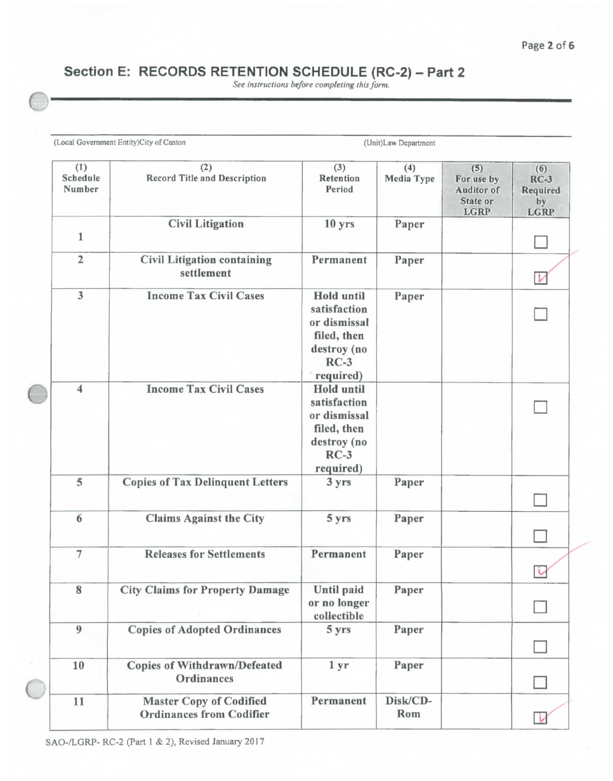# **Section E: RECORDS RETENTION SCHEDULE (RC-2) - Part 2**

*See instructions before completing this form.* 

| (1)<br>Schedule<br>Number | (2)<br><b>Record Title and Description</b>                        | (3)<br>Retention<br>Period                                                                      | (4)<br>Media Type | (5)<br>For use by<br><b>Auditor</b> of<br>State or<br><b>LGRP</b> | (6)<br>$RC-3$<br>Required<br>by<br><b>LGRP</b> |
|---------------------------|-------------------------------------------------------------------|-------------------------------------------------------------------------------------------------|-------------------|-------------------------------------------------------------------|------------------------------------------------|
| 1                         | <b>Civil Litigation</b>                                           | 10 <sub>yrs</sub>                                                                               | Paper             |                                                                   |                                                |
| $\overline{2}$            | <b>Civil Litigation containing</b><br>settlement                  | Permanent                                                                                       | Paper             |                                                                   |                                                |
| $\overline{3}$            | <b>Income Tax Civil Cases</b>                                     | Hold until<br>satisfaction<br>or dismissal<br>filed, then<br>destroy (no<br>$RC-3$<br>required) | Paper             |                                                                   |                                                |
| $\overline{\mathbf{4}}$   | <b>Income Tax Civil Cases</b>                                     | Hold until<br>satisfaction<br>or dismissal<br>filed, then<br>destroy (no<br>$RC-3$<br>required) |                   |                                                                   |                                                |
| 5                         | <b>Copies of Tax Delinquent Letters</b>                           | 3 yrs                                                                                           | Paper             |                                                                   |                                                |
| 6                         | <b>Claims Against the City</b>                                    | 5 yrs                                                                                           | Paper             |                                                                   |                                                |
| $\overline{7}$            | <b>Releases for Settlements</b>                                   | Permanent                                                                                       | Paper             |                                                                   |                                                |
| 8                         | <b>City Claims for Property Damage</b>                            | Until paid<br>or no longer<br>collectible                                                       | Paper             |                                                                   |                                                |
| 9                         | <b>Copies of Adopted Ordinances</b>                               | 5 yrs                                                                                           | Paper             |                                                                   |                                                |
| 10                        | <b>Copies of Withdrawn/Defeated</b><br>Ordinances                 | 1 <sub>yr</sub>                                                                                 | Paper             |                                                                   |                                                |
| 11                        | <b>Master Copy of Codified</b><br><b>Ordinances from Codifier</b> | Permanent                                                                                       | Disk/CD-<br>Rom   |                                                                   |                                                |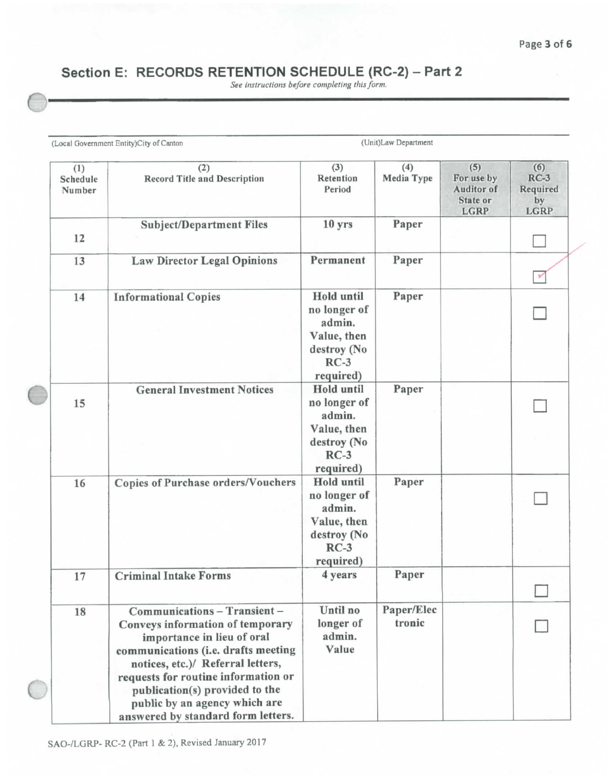## **Section E: RECORDS RETENTION SCHEDULE (RC-2) - Part 2**

*See instructions before completing this form.* 

|                           | (Local Government Entity)City of Canton                                                                                                                                                                                                                                                                                    |                                                                                                  | (Unit)Law Department |                                                                   |                                                |
|---------------------------|----------------------------------------------------------------------------------------------------------------------------------------------------------------------------------------------------------------------------------------------------------------------------------------------------------------------------|--------------------------------------------------------------------------------------------------|----------------------|-------------------------------------------------------------------|------------------------------------------------|
| (1)<br>Schedule<br>Number | (2)<br><b>Record Title and Description</b>                                                                                                                                                                                                                                                                                 | (3)<br>Retention<br>Period                                                                       | (4)<br>Media Type    | (5)<br>For use by<br><b>Auditor</b> of<br>State or<br><b>LGRP</b> | (6)<br>$RC-3$<br>Required<br>by<br><b>LGRP</b> |
| 12                        | <b>Subject/Department Files</b>                                                                                                                                                                                                                                                                                            | 10 yrs                                                                                           | Paper                |                                                                   |                                                |
| 13                        | <b>Law Director Legal Opinions</b>                                                                                                                                                                                                                                                                                         | Permanent                                                                                        | Paper                |                                                                   |                                                |
| 14                        | <b>Informational Copies</b>                                                                                                                                                                                                                                                                                                | <b>Hold</b> until<br>no longer of<br>admin.<br>Value, then<br>destroy (No<br>$RC-3$<br>required) | Paper                |                                                                   |                                                |
| 15                        | <b>General Investment Notices</b>                                                                                                                                                                                                                                                                                          | Hold until<br>no longer of<br>admin.<br>Value, then<br>destroy (No<br>$RC-3$<br>required)        | Paper                |                                                                   |                                                |
| 16                        | <b>Copies of Purchase orders/Vouchers</b>                                                                                                                                                                                                                                                                                  | Hold until<br>no longer of<br>admin.<br>Value, then<br>destroy (No<br>$RC-3$<br>required)        | Paper                |                                                                   |                                                |
| 17                        | <b>Criminal Intake Forms</b>                                                                                                                                                                                                                                                                                               | 4 years                                                                                          | Paper                |                                                                   |                                                |
| 18                        | Communications - Transient -<br>Conveys information of temporary<br>importance in lieu of oral<br>communications (i.e. drafts meeting<br>notices, etc.)/ Referral letters,<br>requests for routine information or<br>publication(s) provided to the<br>public by an agency which are<br>answered by standard form letters. | Until no<br>longer of<br>admin.<br>Value                                                         | Paper/Elec<br>tronic |                                                                   |                                                |